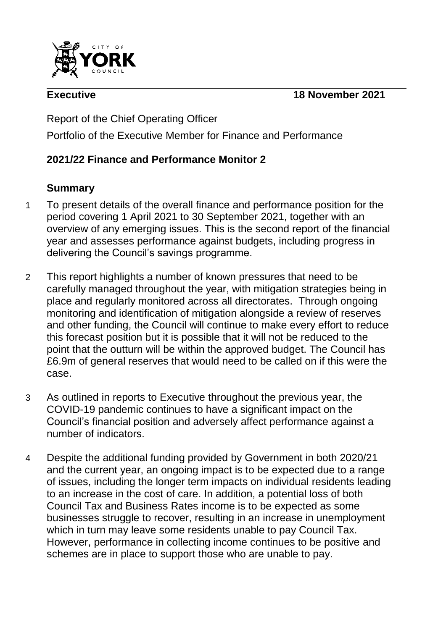

**Executive 18 November 2021**

Report of the Chief Operating Officer Portfolio of the Executive Member for Finance and Performance

# **2021/22 Finance and Performance Monitor 2**

## **Summary**

- 1 To present details of the overall finance and performance position for the period covering 1 April 2021 to 30 September 2021, together with an overview of any emerging issues. This is the second report of the financial year and assesses performance against budgets, including progress in delivering the Council's savings programme.
- 2 This report highlights a number of known pressures that need to be carefully managed throughout the year, with mitigation strategies being in place and regularly monitored across all directorates. Through ongoing monitoring and identification of mitigation alongside a review of reserves and other funding, the Council will continue to make every effort to reduce this forecast position but it is possible that it will not be reduced to the point that the outturn will be within the approved budget. The Council has £6.9m of general reserves that would need to be called on if this were the case.
- 3 As outlined in reports to Executive throughout the previous year, the COVID-19 pandemic continues to have a significant impact on the Council's financial position and adversely affect performance against a number of indicators.
- 4 Despite the additional funding provided by Government in both 2020/21 and the current year, an ongoing impact is to be expected due to a range of issues, including the longer term impacts on individual residents leading to an increase in the cost of care. In addition, a potential loss of both Council Tax and Business Rates income is to be expected as some businesses struggle to recover, resulting in an increase in unemployment which in turn may leave some residents unable to pay Council Tax. However, performance in collecting income continues to be positive and schemes are in place to support those who are unable to pay.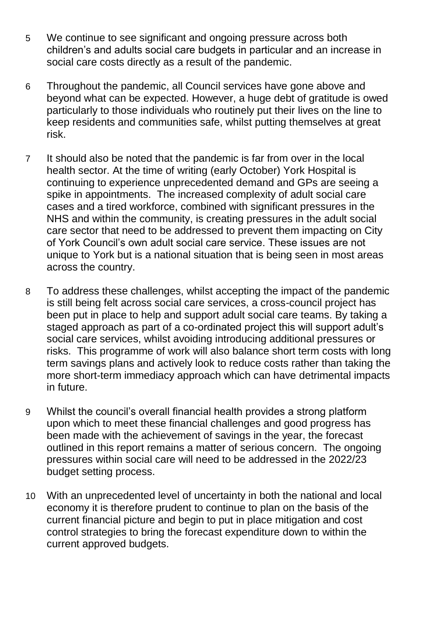- 5 We continue to see significant and ongoing pressure across both children's and adults social care budgets in particular and an increase in social care costs directly as a result of the pandemic.
- 6 Throughout the pandemic, all Council services have gone above and beyond what can be expected. However, a huge debt of gratitude is owed particularly to those individuals who routinely put their lives on the line to keep residents and communities safe, whilst putting themselves at great risk.
- 7 It should also be noted that the pandemic is far from over in the local health sector. At the time of writing (early October) York Hospital is continuing to experience unprecedented demand and GPs are seeing a spike in appointments. The increased complexity of adult social care cases and a tired workforce, combined with significant pressures in the NHS and within the community, is creating pressures in the adult social care sector that need to be addressed to prevent them impacting on City of York Council's own adult social care service. These issues are not unique to York but is a national situation that is being seen in most areas across the country.
- 8 To address these challenges, whilst accepting the impact of the pandemic is still being felt across social care services, a cross-council project has been put in place to help and support adult social care teams. By taking a staged approach as part of a co-ordinated project this will support adult's social care services, whilst avoiding introducing additional pressures or risks. This programme of work will also balance short term costs with long term savings plans and actively look to reduce costs rather than taking the more short-term immediacy approach which can have detrimental impacts in future.
- 9 Whilst the council's overall financial health provides a strong platform upon which to meet these financial challenges and good progress has been made with the achievement of savings in the year, the forecast outlined in this report remains a matter of serious concern. The ongoing pressures within social care will need to be addressed in the 2022/23 budget setting process.
- 10 With an unprecedented level of uncertainty in both the national and local economy it is therefore prudent to continue to plan on the basis of the current financial picture and begin to put in place mitigation and cost control strategies to bring the forecast expenditure down to within the current approved budgets.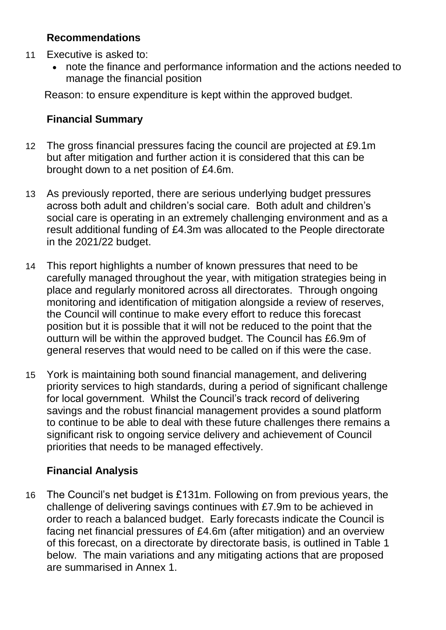## **Recommendations**

- 11 Executive is asked to:
	- note the finance and performance information and the actions needed to manage the financial position

Reason: to ensure expenditure is kept within the approved budget.

## **Financial Summary**

- 12 The gross financial pressures facing the council are projected at £9.1m but after mitigation and further action it is considered that this can be brought down to a net position of £4.6m.
- 13 As previously reported, there are serious underlying budget pressures across both adult and children's social care. Both adult and children's social care is operating in an extremely challenging environment and as a result additional funding of £4.3m was allocated to the People directorate in the 2021/22 budget.
- 14 This report highlights a number of known pressures that need to be carefully managed throughout the year, with mitigation strategies being in place and regularly monitored across all directorates. Through ongoing monitoring and identification of mitigation alongside a review of reserves, the Council will continue to make every effort to reduce this forecast position but it is possible that it will not be reduced to the point that the outturn will be within the approved budget. The Council has £6.9m of general reserves that would need to be called on if this were the case.
- 15 York is maintaining both sound financial management, and delivering priority services to high standards, during a period of significant challenge for local government. Whilst the Council's track record of delivering savings and the robust financial management provides a sound platform to continue to be able to deal with these future challenges there remains a significant risk to ongoing service delivery and achievement of Council priorities that needs to be managed effectively.

# **Financial Analysis**

16 The Council's net budget is £131m. Following on from previous years, the challenge of delivering savings continues with £7.9m to be achieved in order to reach a balanced budget. Early forecasts indicate the Council is facing net financial pressures of £4.6m (after mitigation) and an overview of this forecast, on a directorate by directorate basis, is outlined in Table 1 below. The main variations and any mitigating actions that are proposed are summarised in Annex 1.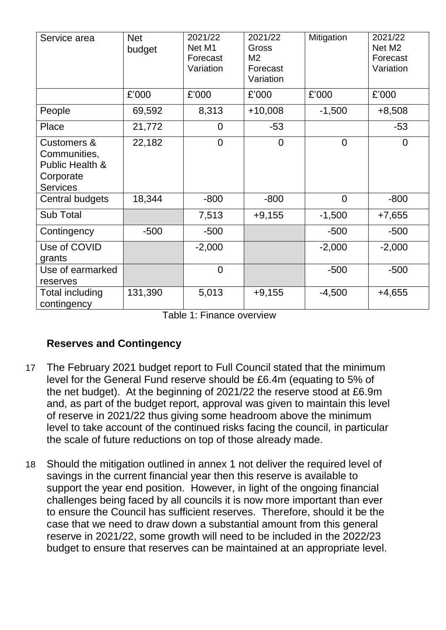| Service area                                                                              | <b>Net</b><br>budget | 2021/22<br>Net M1<br>Forecast<br>Variation | 2021/22<br>Gross<br>M2<br>Forecast<br>Variation | Mitigation     | 2021/22<br>Net M <sub>2</sub><br>Forecast<br>Variation |
|-------------------------------------------------------------------------------------------|----------------------|--------------------------------------------|-------------------------------------------------|----------------|--------------------------------------------------------|
|                                                                                           | £'000                | £'000                                      | £'000                                           | £'000          | £'000                                                  |
| People                                                                                    | 69,592               | 8,313                                      | $+10,008$                                       | $-1,500$       | $+8,508$                                               |
| Place                                                                                     | 21,772               | $\Omega$                                   | $-53$                                           |                | $-53$                                                  |
| <b>Customers &amp;</b><br>Communities,<br>Public Health &<br>Corporate<br><b>Services</b> | 22,182               | $\overline{0}$                             | $\overline{0}$                                  | $\overline{0}$ | $\Omega$                                               |
| Central budgets                                                                           | 18,344               | $-800$                                     | $-800$                                          | $\overline{0}$ | $-800$                                                 |
| Sub Total                                                                                 |                      | 7,513                                      | $+9,155$                                        | $-1,500$       | $+7,655$                                               |
| Contingency                                                                               | $-500$               | $-500$                                     |                                                 | $-500$         | $-500$                                                 |
| Use of COVID<br>grants                                                                    |                      | $-2,000$                                   |                                                 | $-2,000$       | $-2,000$                                               |
| Use of earmarked<br>reserves                                                              |                      | $\overline{0}$                             |                                                 | $-500$         | $-500$                                                 |
| Total including<br>contingency                                                            | 131,390              | 5,013                                      | $+9,155$                                        | $-4,500$       | $+4,655$                                               |

Table 1: Finance overview

## **Reserves and Contingency**

- 17 The February 2021 budget report to Full Council stated that the minimum level for the General Fund reserve should be £6.4m (equating to 5% of the net budget). At the beginning of 2021/22 the reserve stood at £6.9m and, as part of the budget report, approval was given to maintain this level of reserve in 2021/22 thus giving some headroom above the minimum level to take account of the continued risks facing the council, in particular the scale of future reductions on top of those already made.
- 18 Should the mitigation outlined in annex 1 not deliver the required level of savings in the current financial year then this reserve is available to support the year end position. However, in light of the ongoing financial challenges being faced by all councils it is now more important than ever to ensure the Council has sufficient reserves. Therefore, should it be the case that we need to draw down a substantial amount from this general reserve in 2021/22, some growth will need to be included in the 2022/23 budget to ensure that reserves can be maintained at an appropriate level.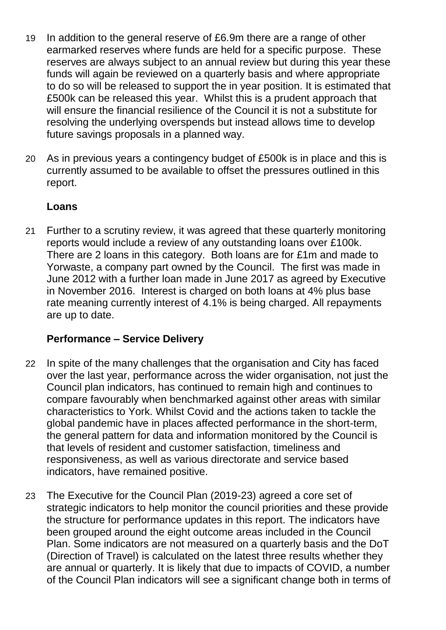- 19 In addition to the general reserve of £6.9m there are a range of other earmarked reserves where funds are held for a specific purpose. These reserves are always subject to an annual review but during this year these funds will again be reviewed on a quarterly basis and where appropriate to do so will be released to support the in year position. It is estimated that £500k can be released this year. Whilst this is a prudent approach that will ensure the financial resilience of the Council it is not a substitute for resolving the underlying overspends but instead allows time to develop future savings proposals in a planned way.
- 20 As in previous years a contingency budget of £500k is in place and this is currently assumed to be available to offset the pressures outlined in this report.

## **Loans**

21 Further to a scrutiny review, it was agreed that these quarterly monitoring reports would include a review of any outstanding loans over £100k. There are 2 loans in this category. Both loans are for £1m and made to Yorwaste, a company part owned by the Council. The first was made in June 2012 with a further loan made in June 2017 as agreed by Executive in November 2016. Interest is charged on both loans at 4% plus base rate meaning currently interest of 4.1% is being charged. All repayments are up to date.

# **Performance – Service Delivery**

- 22 In spite of the many challenges that the organisation and City has faced over the last year, performance across the wider organisation, not just the Council plan indicators, has continued to remain high and continues to compare favourably when benchmarked against other areas with similar characteristics to York. Whilst Covid and the actions taken to tackle the global pandemic have in places affected performance in the short-term, the general pattern for data and information monitored by the Council is that levels of resident and customer satisfaction, timeliness and responsiveness, as well as various directorate and service based indicators, have remained positive.
- 23 The Executive for the Council Plan (2019-23) agreed a core set of strategic indicators to help monitor the council priorities and these provide the structure for performance updates in this report. The indicators have been grouped around the eight outcome areas included in the Council Plan. Some indicators are not measured on a quarterly basis and the DoT (Direction of Travel) is calculated on the latest three results whether they are annual or quarterly. It is likely that due to impacts of COVID, a number of the Council Plan indicators will see a significant change both in terms of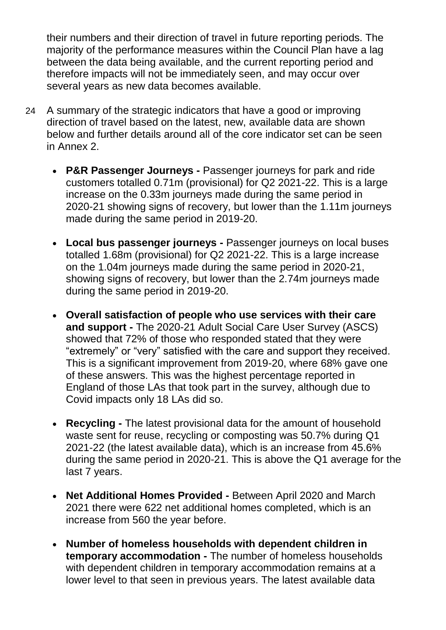their numbers and their direction of travel in future reporting periods. The majority of the performance measures within the Council Plan have a lag between the data being available, and the current reporting period and therefore impacts will not be immediately seen, and may occur over several years as new data becomes available.

- 24 A summary of the strategic indicators that have a good or improving direction of travel based on the latest, new, available data are shown below and further details around all of the core indicator set can be seen in Annex 2.
	- **P&R Passenger Journeys -** Passenger journeys for park and ride customers totalled 0.71m (provisional) for Q2 2021-22. This is a large increase on the 0.33m journeys made during the same period in 2020-21 showing signs of recovery, but lower than the 1.11m journeys made during the same period in 2019-20.
	- **Local bus passenger journeys -** Passenger journeys on local buses totalled 1.68m (provisional) for Q2 2021-22. This is a large increase on the 1.04m journeys made during the same period in 2020-21, showing signs of recovery, but lower than the 2.74m journeys made during the same period in 2019-20.
	- **Overall satisfaction of people who use services with their care and support -** The 2020-21 Adult Social Care User Survey (ASCS) showed that 72% of those who responded stated that they were "extremely" or "very" satisfied with the care and support they received. This is a significant improvement from 2019-20, where 68% gave one of these answers. This was the highest percentage reported in England of those LAs that took part in the survey, although due to Covid impacts only 18 LAs did so.
	- **Recycling -** The latest provisional data for the amount of household waste sent for reuse, recycling or composting was 50.7% during Q1 2021-22 (the latest available data), which is an increase from 45.6% during the same period in 2020-21. This is above the Q1 average for the last 7 years.
	- **Net Additional Homes Provided -** Between April 2020 and March 2021 there were 622 net additional homes completed, which is an increase from 560 the year before.
	- **Number of homeless households with dependent children in temporary accommodation -** The number of homeless households with dependent children in temporary accommodation remains at a lower level to that seen in previous years. The latest available data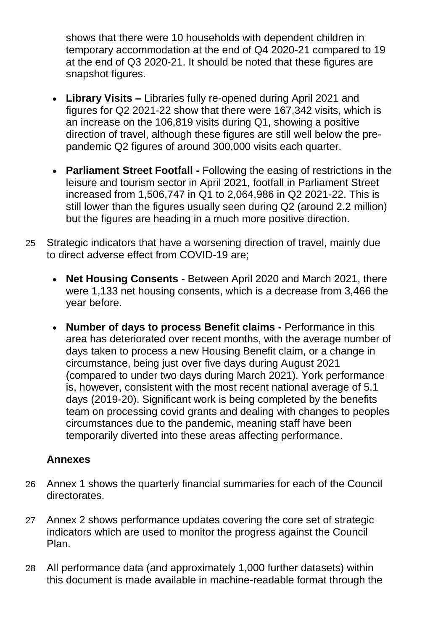shows that there were 10 households with dependent children in temporary accommodation at the end of Q4 2020-21 compared to 19 at the end of Q3 2020-21. It should be noted that these figures are snapshot figures.

- **Library Visits –** Libraries fully re-opened during April 2021 and figures for Q2 2021-22 show that there were 167,342 visits, which is an increase on the 106,819 visits during Q1, showing a positive direction of travel, although these figures are still well below the prepandemic Q2 figures of around 300,000 visits each quarter.
- **Parliament Street Footfall -** Following the easing of restrictions in the leisure and tourism sector in April 2021, footfall in Parliament Street increased from 1,506,747 in Q1 to 2,064,986 in Q2 2021-22. This is still lower than the figures usually seen during Q2 (around 2.2 million) but the figures are heading in a much more positive direction.
- 25 Strategic indicators that have a worsening direction of travel, mainly due to direct adverse effect from COVID-19 are;
	- **Net Housing Consents -** Between April 2020 and March 2021, there were 1,133 net housing consents, which is a decrease from 3,466 the year before.
	- **Number of days to process Benefit claims -** Performance in this area has deteriorated over recent months, with the average number of days taken to process a new Housing Benefit claim, or a change in circumstance, being just over five days during August 2021 (compared to under two days during March 2021). York performance is, however, consistent with the most recent national average of 5.1 days (2019-20). Significant work is being completed by the benefits team on processing covid grants and dealing with changes to peoples circumstances due to the pandemic, meaning staff have been temporarily diverted into these areas affecting performance.

### **Annexes**

- 26 Annex 1 shows the quarterly financial summaries for each of the Council directorates.
- 27 Annex 2 shows performance updates covering the core set of strategic indicators which are used to monitor the progress against the Council Plan.
- 28 All performance data (and approximately 1,000 further datasets) within this document is made available in machine-readable format through the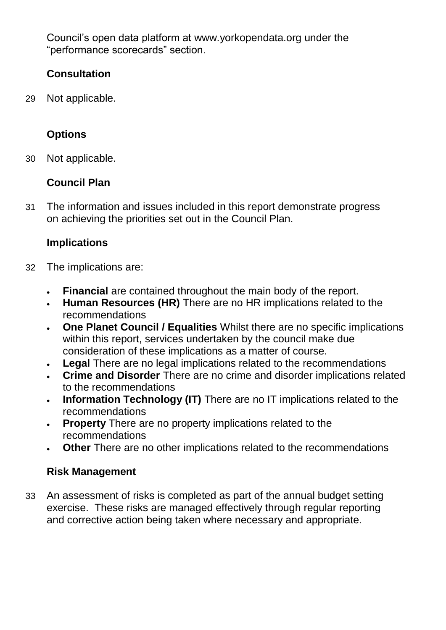Council's open data platform at [www.yorkopendata.org](http://www.yorkopendata.org/) under the "performance scorecards" section.

## **Consultation**

29 Not applicable.

# **Options**

30 Not applicable.

# **Council Plan**

31 The information and issues included in this report demonstrate progress on achieving the priorities set out in the Council Plan.

# **Implications**

- 32 The implications are:
	- **Financial** are contained throughout the main body of the report.
	- **Human Resources (HR)** There are no HR implications related to the recommendations
	- **One Planet Council / Equalities** Whilst there are no specific implications within this report, services undertaken by the council make due consideration of these implications as a matter of course.
	- **Legal** There are no legal implications related to the recommendations
	- **Crime and Disorder** There are no crime and disorder implications related to the recommendations
	- **Information Technology (IT)** There are no IT implications related to the recommendations
	- **Property** There are no property implications related to the recommendations
	- **Other** There are no other implications related to the recommendations

# **Risk Management**

33 An assessment of risks is completed as part of the annual budget setting exercise. These risks are managed effectively through regular reporting and corrective action being taken where necessary and appropriate.